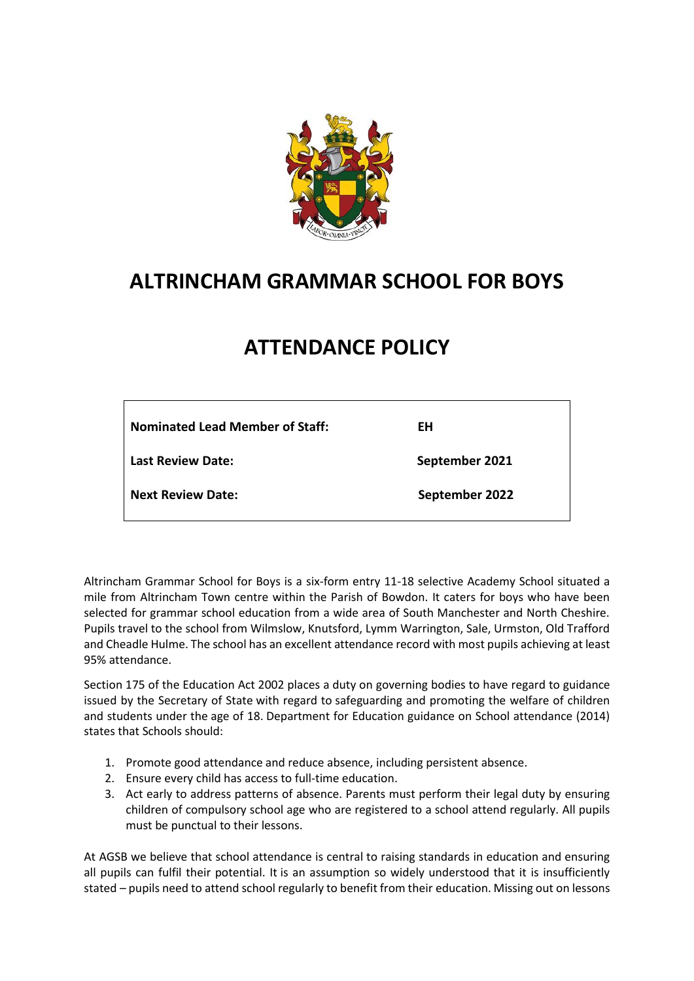

# **ALTRINCHAM GRAMMAR SCHOOL FOR BOYS**

# **ATTENDANCE POLICY**

| <b>Nominated Lead Member of Staff:</b> | EH             |
|----------------------------------------|----------------|
| <b>Last Review Date:</b>               | September 2021 |
| <b>Next Review Date:</b>               | September 2022 |

Altrincham Grammar School for Boys is a six-form entry 11-18 selective Academy School situated a mile from Altrincham Town centre within the Parish of Bowdon. It caters for boys who have been selected for grammar school education from a wide area of South Manchester and North Cheshire. Pupils travel to the school from Wilmslow, Knutsford, Lymm Warrington, Sale, Urmston, Old Trafford and Cheadle Hulme. The school has an excellent attendance record with most pupils achieving at least 95% attendance.

Section 175 of the Education Act 2002 places a duty on governing bodies to have regard to guidance issued by the Secretary of State with regard to safeguarding and promoting the welfare of children and students under the age of 18. Department for Education guidance on School attendance (2014) states that Schools should:

- 1. Promote good attendance and reduce absence, including persistent absence.
- 2. Ensure every child has access to full-time education.
- 3. Act early to address patterns of absence. Parents must perform their legal duty by ensuring children of compulsory school age who are registered to a school attend regularly. All pupils must be punctual to their lessons.

At AGSB we believe that school attendance is central to raising standards in education and ensuring all pupils can fulfil their potential. It is an assumption so widely understood that it is insufficiently stated – pupils need to attend school regularly to benefit from their education. Missing out on lessons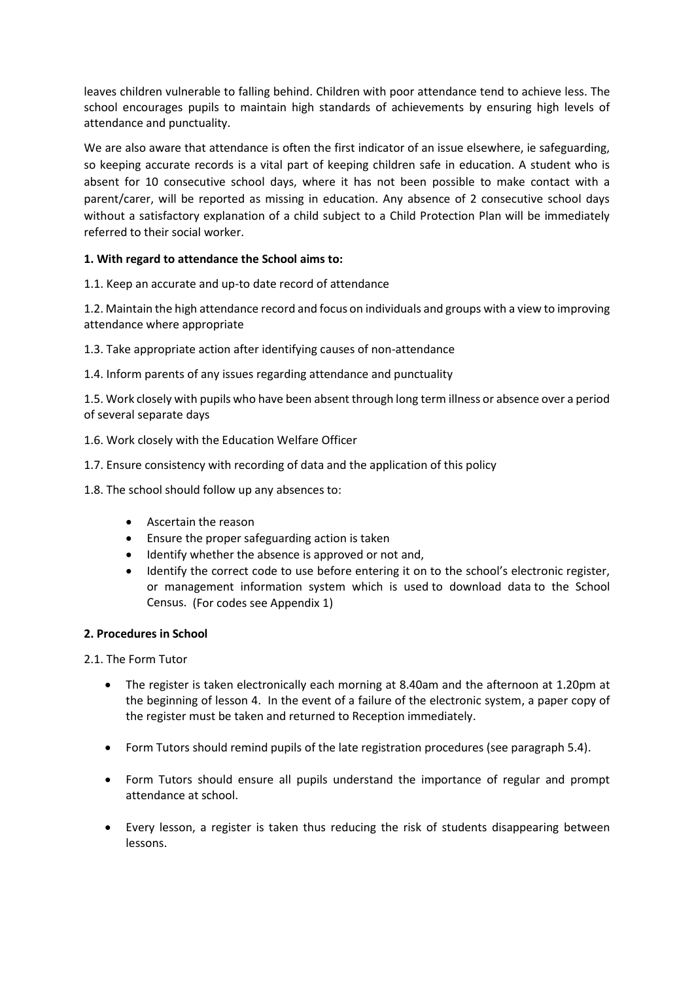leaves children vulnerable to falling behind. Children with poor attendance tend to achieve less. The school encourages pupils to maintain high standards of achievements by ensuring high levels of attendance and punctuality.

We are also aware that attendance is often the first indicator of an issue elsewhere, ie safeguarding, so keeping accurate records is a vital part of keeping children safe in education. A student who is absent for 10 consecutive school days, where it has not been possible to make contact with a parent/carer, will be reported as missing in education. Any absence of 2 consecutive school days without a satisfactory explanation of a child subject to a Child Protection Plan will be immediately referred to their social worker.

# **1. With regard to attendance the School aims to:**

1.1. Keep an accurate and up-to date record of attendance

1.2. Maintain the high attendance record and focus on individuals and groups with a view to improving attendance where appropriate

1.3. Take appropriate action after identifying causes of non-attendance

1.4. Inform parents of any issues regarding attendance and punctuality

1.5. Work closely with pupils who have been absent through long term illness or absence over a period of several separate days

1.6. Work closely with the Education Welfare Officer

1.7. Ensure consistency with recording of data and the application of this policy

1.8. The school should follow up any absences to:

- Ascertain the reason
- Ensure the proper safeguarding action is taken
- Identify whether the absence is approved or not and,
- Identify the correct code to use before entering it on to the school's electronic register, or management information system which is used to download data to the School Census. (For codes see Appendix 1)

#### **2. Procedures in School**

2.1. The Form Tutor

- The register is taken electronically each morning at 8.40am and the afternoon at 1.20pm at the beginning of lesson 4. In the event of a failure of the electronic system, a paper copy of the register must be taken and returned to Reception immediately.
- Form Tutors should remind pupils of the late registration procedures (see paragraph 5.4).
- Form Tutors should ensure all pupils understand the importance of regular and prompt attendance at school.
- Every lesson, a register is taken thus reducing the risk of students disappearing between lessons.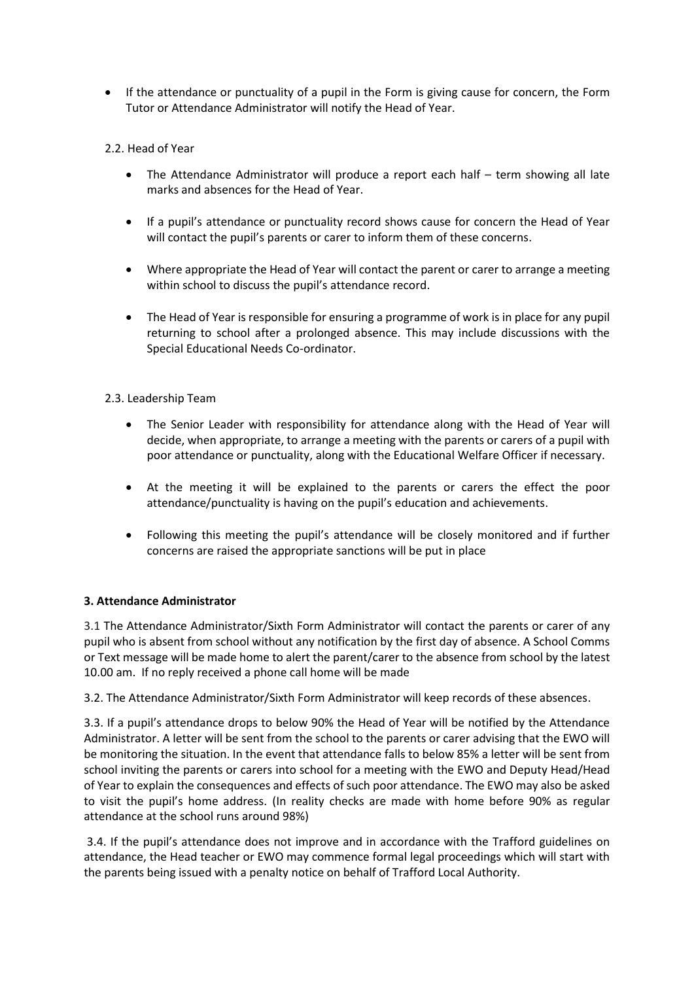- If the attendance or punctuality of a pupil in the Form is giving cause for concern, the Form Tutor or Attendance Administrator will notify the Head of Year.
- 2.2. Head of Year
	- The Attendance Administrator will produce a report each half  $-$  term showing all late marks and absences for the Head of Year.
	- If a pupil's attendance or punctuality record shows cause for concern the Head of Year will contact the pupil's parents or carer to inform them of these concerns.
	- Where appropriate the Head of Year will contact the parent or carer to arrange a meeting within school to discuss the pupil's attendance record.
	- The Head of Year is responsible for ensuring a programme of work is in place for any pupil returning to school after a prolonged absence. This may include discussions with the Special Educational Needs Co-ordinator.
- 2.3. Leadership Team
	- The Senior Leader with responsibility for attendance along with the Head of Year will decide, when appropriate, to arrange a meeting with the parents or carers of a pupil with poor attendance or punctuality, along with the Educational Welfare Officer if necessary.
	- At the meeting it will be explained to the parents or carers the effect the poor attendance/punctuality is having on the pupil's education and achievements.
	- Following this meeting the pupil's attendance will be closely monitored and if further concerns are raised the appropriate sanctions will be put in place

#### **3. Attendance Administrator**

3.1 The Attendance Administrator/Sixth Form Administrator will contact the parents or carer of any pupil who is absent from school without any notification by the first day of absence. A School Comms or Text message will be made home to alert the parent/carer to the absence from school by the latest 10.00 am. If no reply received a phone call home will be made

3.2. The Attendance Administrator/Sixth Form Administrator will keep records of these absences.

3.3. If a pupil's attendance drops to below 90% the Head of Year will be notified by the Attendance Administrator. A letter will be sent from the school to the parents or carer advising that the EWO will be monitoring the situation. In the event that attendance falls to below 85% a letter will be sent from school inviting the parents or carers into school for a meeting with the EWO and Deputy Head/Head of Year to explain the consequences and effects of such poor attendance. The EWO may also be asked to visit the pupil's home address. (In reality checks are made with home before 90% as regular attendance at the school runs around 98%)

3.4. If the pupil's attendance does not improve and in accordance with the Trafford guidelines on attendance, the Head teacher or EWO may commence formal legal proceedings which will start with the parents being issued with a penalty notice on behalf of Trafford Local Authority.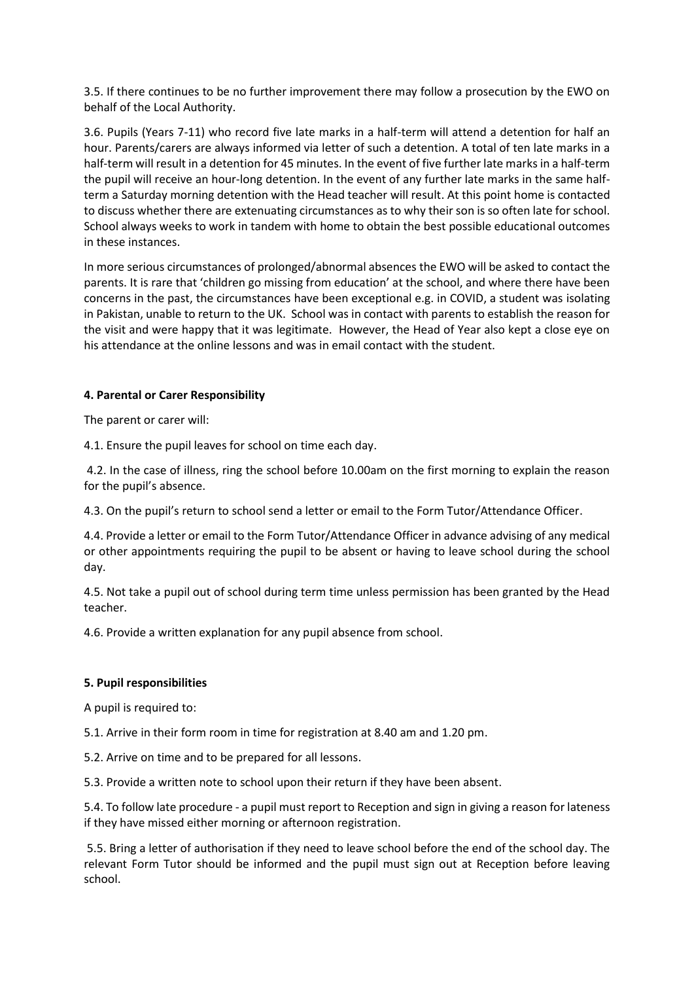3.5. If there continues to be no further improvement there may follow a prosecution by the EWO on behalf of the Local Authority.

3.6. Pupils (Years 7-11) who record five late marks in a half-term will attend a detention for half an hour. Parents/carers are always informed via letter of such a detention. A total of ten late marks in a half-term will result in a detention for 45 minutes. In the event of five further late marks in a half-term the pupil will receive an hour-long detention. In the event of any further late marks in the same halfterm a Saturday morning detention with the Head teacher will result. At this point home is contacted to discuss whether there are extenuating circumstances as to why their son is so often late for school. School always weeks to work in tandem with home to obtain the best possible educational outcomes in these instances.

In more serious circumstances of prolonged/abnormal absences the EWO will be asked to contact the parents. It is rare that 'children go missing from education' at the school, and where there have been concerns in the past, the circumstances have been exceptional e.g. in COVID, a student was isolating in Pakistan, unable to return to the UK. School was in contact with parents to establish the reason for the visit and were happy that it was legitimate. However, the Head of Year also kept a close eye on his attendance at the online lessons and was in email contact with the student.

# **4. Parental or Carer Responsibility**

The parent or carer will:

4.1. Ensure the pupil leaves for school on time each day.

4.2. In the case of illness, ring the school before 10.00am on the first morning to explain the reason for the pupil's absence.

4.3. On the pupil's return to school send a letter or email to the Form Tutor/Attendance Officer.

4.4. Provide a letter or email to the Form Tutor/Attendance Officer in advance advising of any medical or other appointments requiring the pupil to be absent or having to leave school during the school day.

4.5. Not take a pupil out of school during term time unless permission has been granted by the Head teacher.

4.6. Provide a written explanation for any pupil absence from school.

# **5. Pupil responsibilities**

A pupil is required to:

5.1. Arrive in their form room in time for registration at 8.40 am and 1.20 pm.

5.2. Arrive on time and to be prepared for all lessons.

5.3. Provide a written note to school upon their return if they have been absent.

5.4. To follow late procedure - a pupil must report to Reception and sign in giving a reason for lateness if they have missed either morning or afternoon registration.

5.5. Bring a letter of authorisation if they need to leave school before the end of the school day. The relevant Form Tutor should be informed and the pupil must sign out at Reception before leaving school.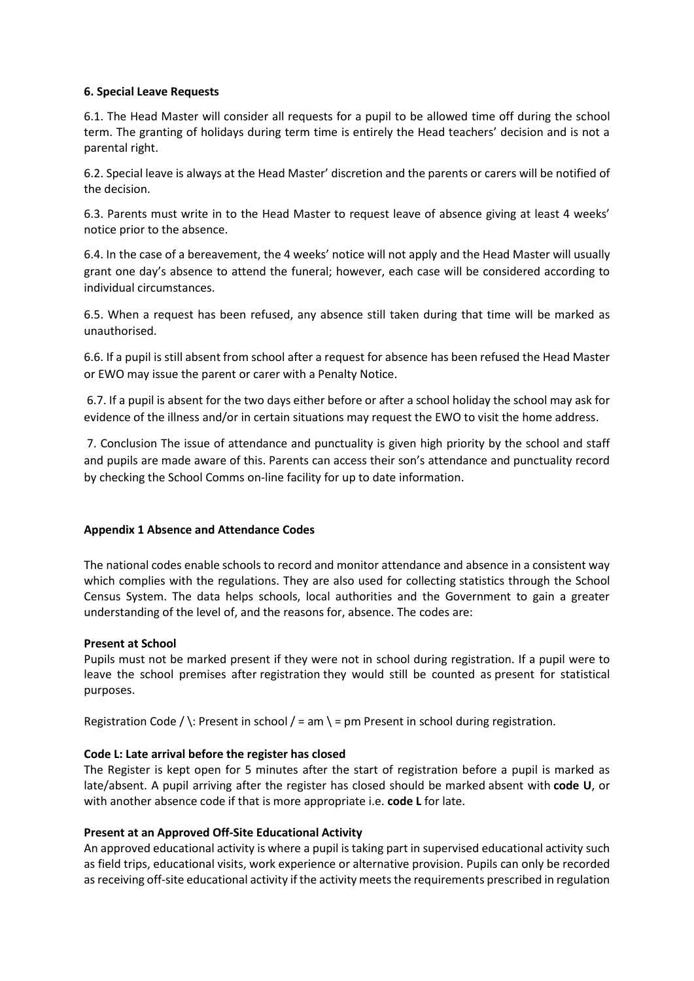#### **6. Special Leave Requests**

6.1. The Head Master will consider all requests for a pupil to be allowed time off during the school term. The granting of holidays during term time is entirely the Head teachers' decision and is not a parental right.

6.2. Special leave is always at the Head Master' discretion and the parents or carers will be notified of the decision.

6.3. Parents must write in to the Head Master to request leave of absence giving at least 4 weeks' notice prior to the absence.

6.4. In the case of a bereavement, the 4 weeks' notice will not apply and the Head Master will usually grant one day's absence to attend the funeral; however, each case will be considered according to individual circumstances.

6.5. When a request has been refused, any absence still taken during that time will be marked as unauthorised.

6.6. If a pupil is still absent from school after a request for absence has been refused the Head Master or EWO may issue the parent or carer with a Penalty Notice.

6.7. If a pupil is absent for the two days either before or after a school holiday the school may ask for evidence of the illness and/or in certain situations may request the EWO to visit the home address.

7. Conclusion The issue of attendance and punctuality is given high priority by the school and staff and pupils are made aware of this. Parents can access their son's attendance and punctuality record by checking the School Comms on-line facility for up to date information.

# **Appendix 1 Absence and Attendance Codes**

The national codes enable schools to record and monitor attendance and absence in a consistent way which complies with the regulations. They are also used for collecting statistics through the School Census System. The data helps schools, local authorities and the Government to gain a greater understanding of the level of, and the reasons for, absence. The codes are:

#### **Present at School**

Pupils must not be marked present if they were not in school during registration. If a pupil were to leave the school premises after registration they would still be counted as present for statistical purposes.

Registration Code / \: Present in school / = am \ = pm Present in school during registration.

# **Code L: Late arrival before the register has closed**

The Register is kept open for 5 minutes after the start of registration before a pupil is marked as late/absent. A pupil arriving after the register has closed should be marked absent with **code U**, or with another absence code if that is more appropriate i.e. **code L** for late.

#### **Present at an Approved Off-Site Educational Activity**

An approved educational activity is where a pupil is taking part in supervised educational activity such as field trips, educational visits, work experience or alternative provision. Pupils can only be recorded as receiving off-site educational activity if the activity meets the requirements prescribed in regulation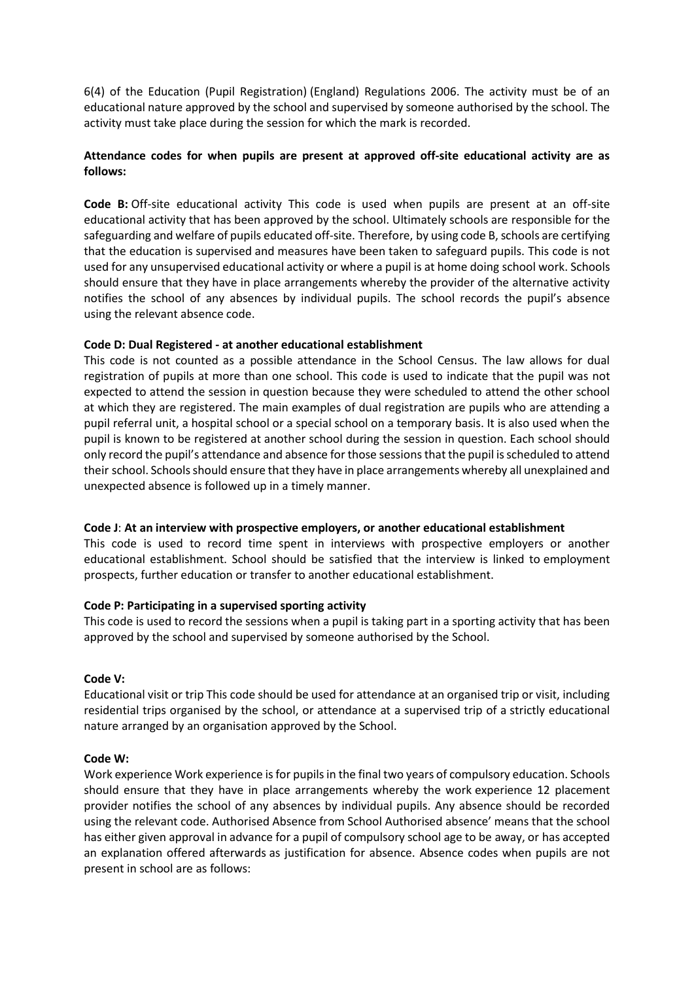6(4) of the Education (Pupil Registration) (England) Regulations 2006. The activity must be of an educational nature approved by the school and supervised by someone authorised by the school. The activity must take place during the session for which the mark is recorded.

# **Attendance codes for when pupils are present at approved off-site educational activity are as follows:**

**Code B:** Off-site educational activity This code is used when pupils are present at an off-site educational activity that has been approved by the school. Ultimately schools are responsible for the safeguarding and welfare of pupils educated off-site. Therefore, by using code B, schools are certifying that the education is supervised and measures have been taken to safeguard pupils. This code is not used for any unsupervised educational activity or where a pupil is at home doing school work. Schools should ensure that they have in place arrangements whereby the provider of the alternative activity notifies the school of any absences by individual pupils. The school records the pupil's absence using the relevant absence code.

## **Code D: Dual Registered - at another educational establishment**

This code is not counted as a possible attendance in the School Census. The law allows for dual registration of pupils at more than one school. This code is used to indicate that the pupil was not expected to attend the session in question because they were scheduled to attend the other school at which they are registered. The main examples of dual registration are pupils who are attending a pupil referral unit, a hospital school or a special school on a temporary basis. It is also used when the pupil is known to be registered at another school during the session in question. Each school should only record the pupil's attendance and absence for those sessions that the pupil is scheduled to attend their school. Schools should ensure that they have in place arrangements whereby all unexplained and unexpected absence is followed up in a timely manner.

# **Code J**: **At an interview with prospective employers, or another educational establishment**

This code is used to record time spent in interviews with prospective employers or another educational establishment. School should be satisfied that the interview is linked to employment prospects, further education or transfer to another educational establishment.

# **Code P: Participating in a supervised sporting activity**

This code is used to record the sessions when a pupil is taking part in a sporting activity that has been approved by the school and supervised by someone authorised by the School.

#### **Code V:**

Educational visit or trip This code should be used for attendance at an organised trip or visit, including residential trips organised by the school, or attendance at a supervised trip of a strictly educational nature arranged by an organisation approved by the School.

#### **Code W:**

Work experience Work experience is for pupils in the final two years of compulsory education. Schools should ensure that they have in place arrangements whereby the work experience 12 placement provider notifies the school of any absences by individual pupils. Any absence should be recorded using the relevant code. Authorised Absence from School Authorised absence' means that the school has either given approval in advance for a pupil of compulsory school age to be away, or has accepted an explanation offered afterwards as justification for absence. Absence codes when pupils are not present in school are as follows: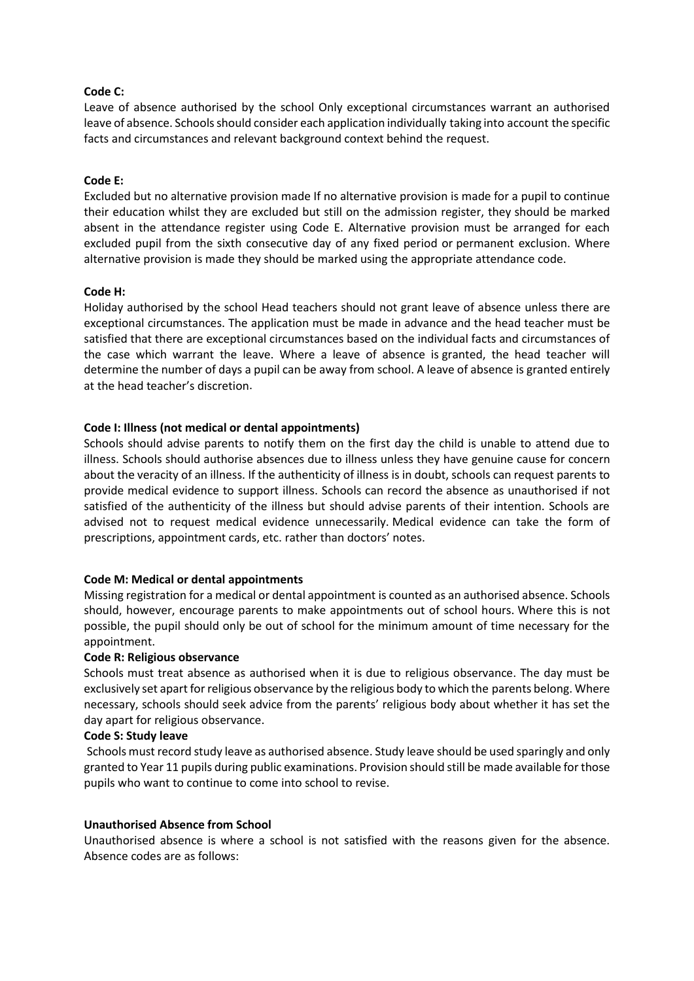#### **Code C:**

Leave of absence authorised by the school Only exceptional circumstances warrant an authorised leave of absence. Schools should consider each application individually taking into account the specific facts and circumstances and relevant background context behind the request.

#### **Code E:**

Excluded but no alternative provision made If no alternative provision is made for a pupil to continue their education whilst they are excluded but still on the admission register, they should be marked absent in the attendance register using Code E. Alternative provision must be arranged for each excluded pupil from the sixth consecutive day of any fixed period or permanent exclusion. Where alternative provision is made they should be marked using the appropriate attendance code.

#### **Code H:**

Holiday authorised by the school Head teachers should not grant leave of absence unless there are exceptional circumstances. The application must be made in advance and the head teacher must be satisfied that there are exceptional circumstances based on the individual facts and circumstances of the case which warrant the leave. Where a leave of absence is granted, the head teacher will determine the number of days a pupil can be away from school. A leave of absence is granted entirely at the head teacher's discretion.

#### **Code I: Illness (not medical or dental appointments)**

Schools should advise parents to notify them on the first day the child is unable to attend due to illness. Schools should authorise absences due to illness unless they have genuine cause for concern about the veracity of an illness. If the authenticity of illness is in doubt, schools can request parents to provide medical evidence to support illness. Schools can record the absence as unauthorised if not satisfied of the authenticity of the illness but should advise parents of their intention. Schools are advised not to request medical evidence unnecessarily. Medical evidence can take the form of prescriptions, appointment cards, etc. rather than doctors' notes.

#### **Code M: Medical or dental appointments**

Missing registration for a medical or dental appointment is counted as an authorised absence. Schools should, however, encourage parents to make appointments out of school hours. Where this is not possible, the pupil should only be out of school for the minimum amount of time necessary for the appointment.

#### **Code R: Religious observance**

Schools must treat absence as authorised when it is due to religious observance. The day must be exclusively set apart for religious observance by the religious body to which the parents belong. Where necessary, schools should seek advice from the parents' religious body about whether it has set the day apart for religious observance.

#### **Code S: Study leave**

Schools must record study leave as authorised absence. Study leave should be used sparingly and only granted to Year 11 pupils during public examinations. Provision should still be made available for those pupils who want to continue to come into school to revise.

#### **Unauthorised Absence from School**

Unauthorised absence is where a school is not satisfied with the reasons given for the absence. Absence codes are as follows: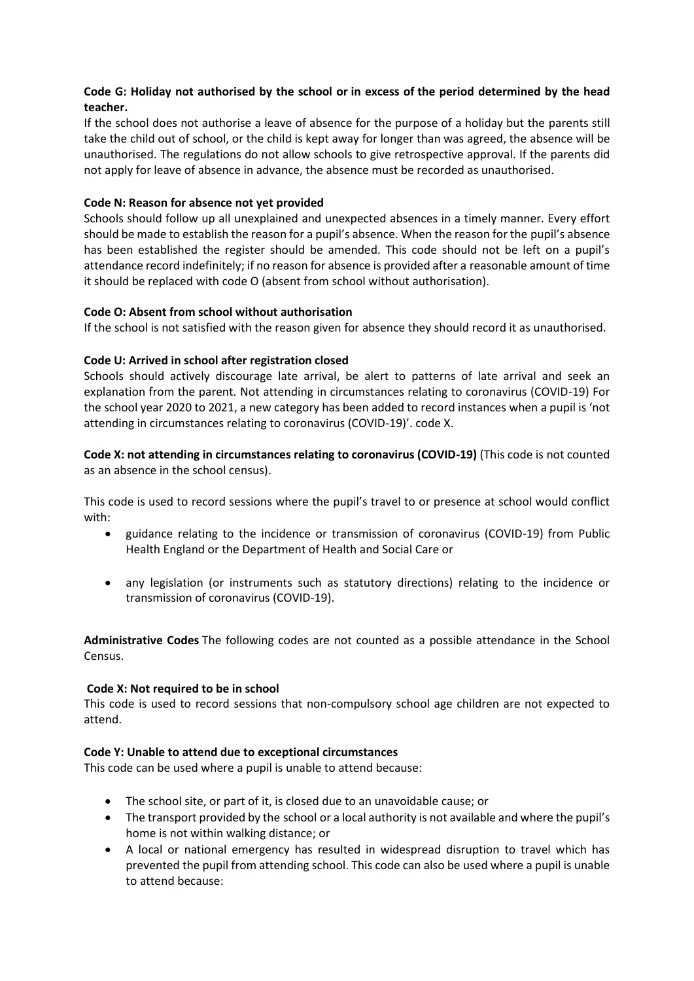# **Code G: Holiday not authorised by the school or in excess of the period determined by the head teacher.**

If the school does not authorise a leave of absence for the purpose of a holiday but the parents still take the child out of school, or the child is kept away for longer than was agreed, the absence will be unauthorised. The regulations do not allow schools to give retrospective approval. If the parents did not apply for leave of absence in advance, the absence must be recorded as unauthorised.

## **Code N: Reason for absence not yet provided**

Schools should follow up all unexplained and unexpected absences in a timely manner. Every effort should be made to establish the reason for a pupil's absence. When the reason for the pupil's absence has been established the register should be amended. This code should not be left on a pupil's attendance record indefinitely; if no reason for absence is provided after a reasonable amount of time it should be replaced with code O (absent from school without authorisation).

## **Code O: Absent from school without authorisation**

If the school is not satisfied with the reason given for absence they should record it as unauthorised.

## **Code U: Arrived in school after registration closed**

Schools should actively discourage late arrival, be alert to patterns of late arrival and seek an explanation from the parent. Not attending in circumstances relating to coronavirus (COVID-19) For the school year 2020 to 2021, a new category has been added to record instances when a pupil is 'not attending in circumstances relating to coronavirus (COVID-19)'. code X.

**Code X: not attending in circumstances relating to coronavirus (COVID-19)** (This code is not counted as an absence in the school census).

This code is used to record sessions where the pupil's travel to or presence at school would conflict with:

- guidance relating to the incidence or transmission of coronavirus (COVID-19) from Public Health England or the Department of Health and Social Care or
- any legislation (or instruments such as statutory directions) relating to the incidence or transmission of coronavirus (COVID-19).

**Administrative Codes** The following codes are not counted as a possible attendance in the School Census.

#### **Code X: Not required to be in school**

This code is used to record sessions that non-compulsory school age children are not expected to attend.

#### **Code Y: Unable to attend due to exceptional circumstances**

This code can be used where a pupil is unable to attend because:

- The school site, or part of it, is closed due to an unavoidable cause; or
- The transport provided by the school or a local authority is not available and where the pupil's home is not within walking distance; or
- A local or national emergency has resulted in widespread disruption to travel which has prevented the pupil from attending school. This code can also be used where a pupil is unable to attend because: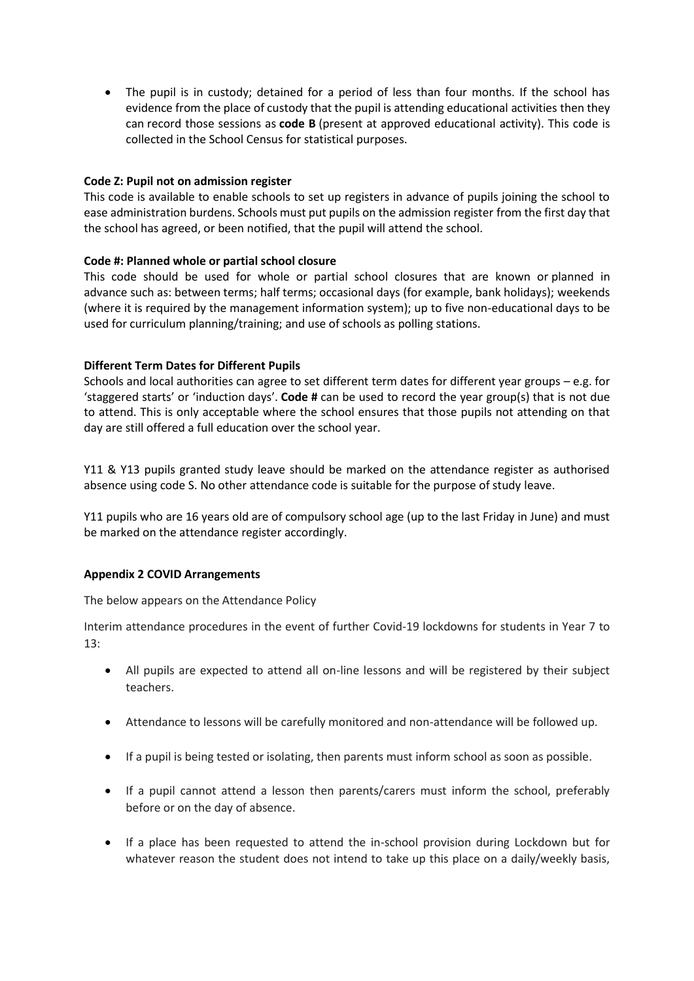• The pupil is in custody; detained for a period of less than four months. If the school has evidence from the place of custody that the pupil is attending educational activities then they can record those sessions as **code B** (present at approved educational activity). This code is collected in the School Census for statistical purposes.

#### **Code Z: Pupil not on admission register**

This code is available to enable schools to set up registers in advance of pupils joining the school to ease administration burdens. Schools must put pupils on the admission register from the first day that the school has agreed, or been notified, that the pupil will attend the school.

## **Code #: Planned whole or partial school closure**

This code should be used for whole or partial school closures that are known or planned in advance such as: between terms; half terms; occasional days (for example, bank holidays); weekends (where it is required by the management information system); up to five non-educational days to be used for curriculum planning/training; and use of schools as polling stations.

## **Different Term Dates for Different Pupils**

Schools and local authorities can agree to set different term dates for different year groups – e.g. for 'staggered starts' or 'induction days'. **Code #** can be used to record the year group(s) that is not due to attend. This is only acceptable where the school ensures that those pupils not attending on that day are still offered a full education over the school year.

Y11 & Y13 pupils granted study leave should be marked on the attendance register as authorised absence using code S. No other attendance code is suitable for the purpose of study leave.

Y11 pupils who are 16 years old are of compulsory school age (up to the last Friday in June) and must be marked on the attendance register accordingly.

# **Appendix 2 COVID Arrangements**

The below appears on the Attendance Policy

Interim attendance procedures in the event of further Covid-19 lockdowns for students in Year 7 to 13:

- All pupils are expected to attend all on-line lessons and will be registered by their subject teachers.
- Attendance to lessons will be carefully monitored and non-attendance will be followed up.
- If a pupil is being tested or isolating, then parents must inform school as soon as possible.
- If a pupil cannot attend a lesson then parents/carers must inform the school, preferably before or on the day of absence.
- If a place has been requested to attend the in-school provision during Lockdown but for whatever reason the student does not intend to take up this place on a daily/weekly basis,